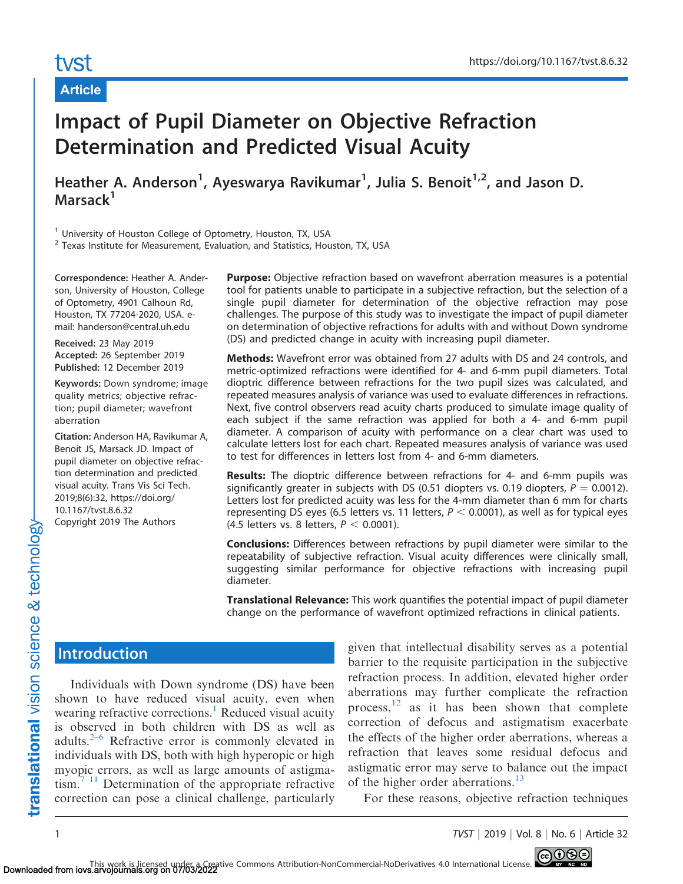# tyst

## Article

# Impact of Pupil Diameter on Objective Refraction Determination and Predicted Visual Acuity

Heather A. Anderson<sup>1</sup>, Ayeswarya Ravikumar<sup>1</sup>, Julia S. Benoit<sup>1,2</sup>, and Jason D. Marsack<sup>1</sup>

<sup>1</sup> University of Houston College of Optometry, Houston, TX, USA

<sup>2</sup> Texas Institute for Measurement, Evaluation, and Statistics, Houston, TX, USA

Correspondence: Heather A. Anderson, University of Houston, College of Optometry, 4901 Calhoun Rd, Houston, TX 77204-2020, USA. email: handerson@central.uh.edu

Received: 23 May 2019 Accepted: 26 September 2019 Published: 12 December 2019

Keywords: Down syndrome; image quality metrics; objective refraction; pupil diameter; wavefront aberration

Citation: Anderson HA, Ravikumar A, Benoit JS, Marsack JD. Impact of pupil diameter on objective refraction determination and predicted visual acuity. Trans Vis Sci Tech. 2019;8(6):32, https://doi.org/ 10.1167/tvst.8.6.32 Copyright 2019 The Authors

Purpose: Objective refraction based on wavefront aberration measures is a potential tool for patients unable to participate in a subjective refraction, but the selection of a single pupil diameter for determination of the objective refraction may pose challenges. The purpose of this study was to investigate the impact of pupil diameter on determination of objective refractions for adults with and without Down syndrome (DS) and predicted change in acuity with increasing pupil diameter.

Methods: Wavefront error was obtained from 27 adults with DS and 24 controls, and metric-optimized refractions were identified for 4- and 6-mm pupil diameters. Total dioptric difference between refractions for the two pupil sizes was calculated, and repeated measures analysis of variance was used to evaluate differences in refractions. Next, five control observers read acuity charts produced to simulate image quality of each subject if the same refraction was applied for both a 4- and 6-mm pupil diameter. A comparison of acuity with performance on a clear chart was used to calculate letters lost for each chart. Repeated measures analysis of variance was used to test for differences in letters lost from 4- and 6-mm diameters.

Results: The dioptric difference between refractions for 4- and 6-mm pupils was significantly greater in subjects with DS (0.51 diopters vs. 0.19 diopters,  $P = 0.0012$ ). Letters lost for predicted acuity was less for the 4-mm diameter than 6 mm for charts representing DS eyes (6.5 letters vs. 11 letters,  $P < 0.0001$ ), as well as for typical eyes (4.5 letters vs. 8 letters,  $P < 0.0001$ ).

Conclusions: Differences between refractions by pupil diameter were similar to the repeatability of subjective refraction. Visual acuity differences were clinically small, suggesting similar performance for objective refractions with increasing pupil diameter.

**Translational Relevance:** This work quantifies the potential impact of pupil diameter change on the performance of wavefront optimized refractions in clinical patients.

# **Introduction**

Individuals with Down syndrome (DS) have been shown to have reduced visual acuity, even when wearing refractive corrections.<sup>[1](#page-7-0)</sup> Reduced visual acuity is observed in both children with DS as well as adults. $2-6$  $2-6$  Refractive error is commonly elevated in individuals with DS, both with high hyperopic or high myopic errors, as well as large amounts of astigma- $\lim_{n \to \infty}$ <sup>[7–11](#page-7-0)</sup> Determination of the appropriate refractive correction can pose a clinical challenge, particularly

given that intellectual disability serves as a potential barrier to the requisite participation in the subjective refraction process. In addition, elevated higher order aberrations may further complicate the refraction process, $12$  as it has been shown that complete correction of defocus and astigmatism exacerbate the effects of the higher order aberrations, whereas a refraction that leaves some residual defocus and astigmatic error may serve to balance out the impact of the higher order aberrations.<sup>[13](#page-7-0)</sup>

For these reasons, objective refraction techniques

translational vision science & technology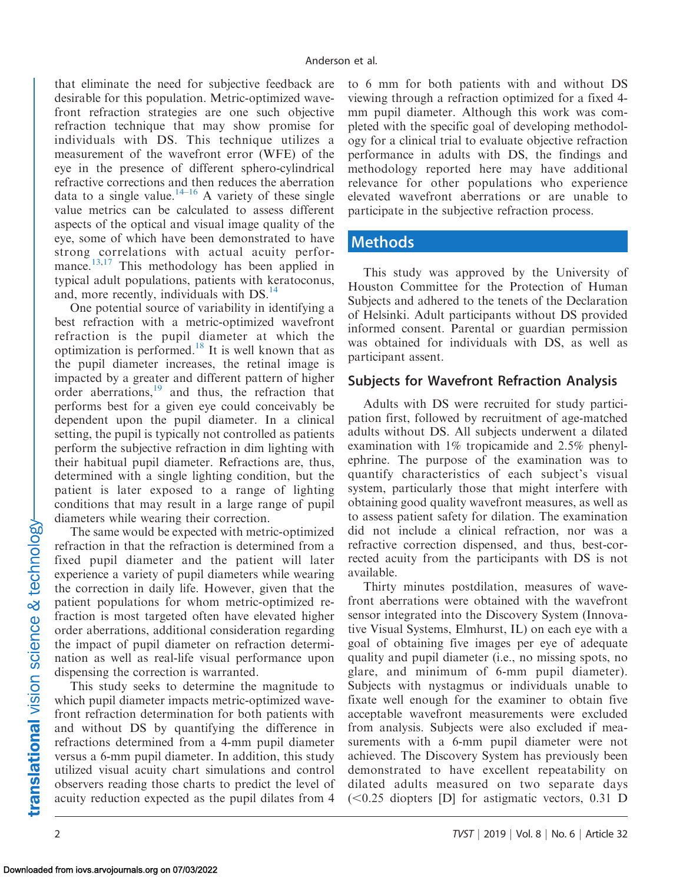that eliminate the need for subjective feedback are desirable for this population. Metric-optimized wavefront refraction strategies are one such objective refraction technique that may show promise for individuals with DS. This technique utilizes a measurement of the wavefront error (WFE) of the eye in the presence of different sphero-cylindrical refractive corrections and then reduces the aberration data to a single value.<sup>[14–16](#page-7-0)</sup> A variety of these single value metrics can be calculated to assess different aspects of the optical and visual image quality of the eye, some of which have been demonstrated to have strong correlations with actual acuity perfor-mance.<sup>[13](#page-7-0)[,17](#page-8-0)</sup> This methodology has been applied in typical adult populations, patients with keratoconus, and, more recently, individuals with DS.<sup>14</sup>

One potential source of variability in identifying a best refraction with a metric-optimized wavefront refraction is the pupil diameter at which the optimization is performed[.18](#page-8-0) It is well known that as the pupil diameter increases, the retinal image is impacted by a greater and different pattern of higher order aberrations,<sup>19</sup> and thus, the refraction that performs best for a given eye could conceivably be dependent upon the pupil diameter. In a clinical setting, the pupil is typically not controlled as patients perform the subjective refraction in dim lighting with their habitual pupil diameter. Refractions are, thus, determined with a single lighting condition, but the patient is later exposed to a range of lighting conditions that may result in a large range of pupil diameters while wearing their correction.

The same would be expected with metric-optimized refraction in that the refraction is determined from a fixed pupil diameter and the patient will later experience a variety of pupil diameters while wearing the correction in daily life. However, given that the patient populations for whom metric-optimized refraction is most targeted often have elevated higher order aberrations, additional consideration regarding the impact of pupil diameter on refraction determination as well as real-life visual performance upon dispensing the correction is warranted.

This study seeks to determine the magnitude to which pupil diameter impacts metric-optimized wavefront refraction determination for both patients with and without DS by quantifying the difference in refractions determined from a 4-mm pupil diameter versus a 6-mm pupil diameter. In addition, this study utilized visual acuity chart simulations and control observers reading those charts to predict the level of acuity reduction expected as the pupil dilates from 4 to 6 mm for both patients with and without DS viewing through a refraction optimized for a fixed 4 mm pupil diameter. Although this work was completed with the specific goal of developing methodology for a clinical trial to evaluate objective refraction performance in adults with DS, the findings and methodology reported here may have additional relevance for other populations who experience elevated wavefront aberrations or are unable to participate in the subjective refraction process.

## Methods

This study was approved by the University of Houston Committee for the Protection of Human Subjects and adhered to the tenets of the Declaration of Helsinki. Adult participants without DS provided informed consent. Parental or guardian permission was obtained for individuals with DS, as well as participant assent.

### Subjects for Wavefront Refraction Analysis

Adults with DS were recruited for study participation first, followed by recruitment of age-matched adults without DS. All subjects underwent a dilated examination with 1% tropicamide and 2.5% phenylephrine. The purpose of the examination was to quantify characteristics of each subject's visual system, particularly those that might interfere with obtaining good quality wavefront measures, as well as to assess patient safety for dilation. The examination did not include a clinical refraction, nor was a refractive correction dispensed, and thus, best-corrected acuity from the participants with DS is not available.

Thirty minutes postdilation, measures of wavefront aberrations were obtained with the wavefront sensor integrated into the Discovery System (Innovative Visual Systems, Elmhurst, IL) on each eye with a goal of obtaining five images per eye of adequate quality and pupil diameter (i.e., no missing spots, no glare, and minimum of 6-mm pupil diameter). Subjects with nystagmus or individuals unable to fixate well enough for the examiner to obtain five acceptable wavefront measurements were excluded from analysis. Subjects were also excluded if measurements with a 6-mm pupil diameter were not achieved. The Discovery System has previously been demonstrated to have excellent repeatability on dilated adults measured on two separate days  $( $0.25$  diopters [D] for astigmatic vectors,  $0.31$  D$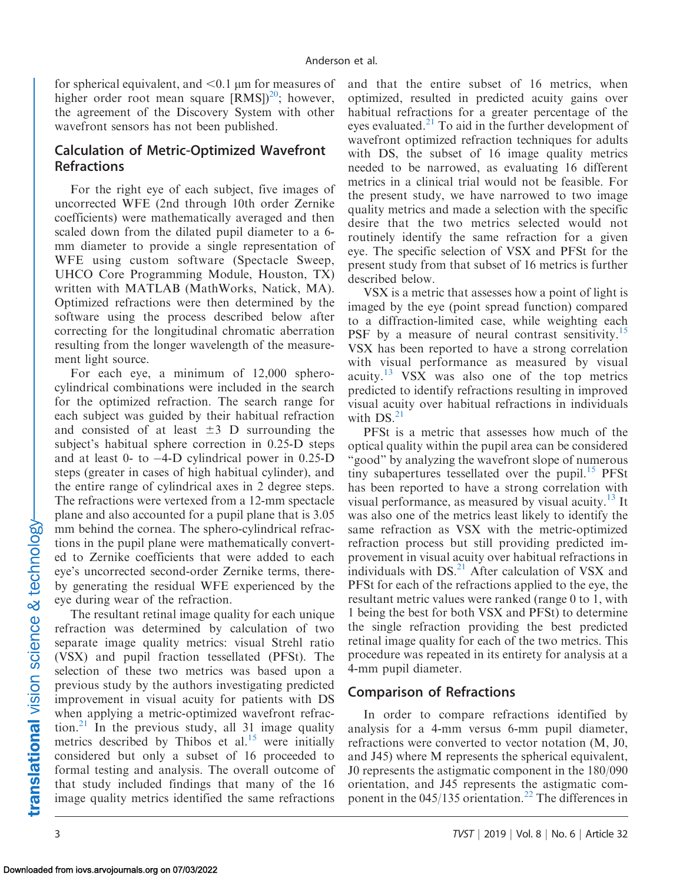for spherical equivalent, and  $< 0.1$  µm for measures of higher order root mean square  $[RMS]^{20}$ ; however, the agreement of the Discovery System with other wavefront sensors has not been published.

#### Calculation of Metric-Optimized Wavefront Refractions

For the right eye of each subject, five images of uncorrected WFE (2nd through 10th order Zernike coefficients) were mathematically averaged and then scaled down from the dilated pupil diameter to a 6 mm diameter to provide a single representation of WFE using custom software (Spectacle Sweep, UHCO Core Programming Module, Houston, TX) written with MATLAB (MathWorks, Natick, MA). Optimized refractions were then determined by the software using the process described below after correcting for the longitudinal chromatic aberration resulting from the longer wavelength of the measurement light source.

For each eye, a minimum of 12,000 spherocylindrical combinations were included in the search for the optimized refraction. The search range for each subject was guided by their habitual refraction and consisted of at least  $\pm 3$  D surrounding the subject's habitual sphere correction in 0.25-D steps and at least 0- to -4-D cylindrical power in 0.25-D steps (greater in cases of high habitual cylinder), and the entire range of cylindrical axes in 2 degree steps. The refractions were vertexed from a 12-mm spectacle plane and also accounted for a pupil plane that is 3.05 mm behind the cornea. The sphero-cylindrical refractions in the pupil plane were mathematically converted to Zernike coefficients that were added to each eye's uncorrected second-order Zernike terms, thereby generating the residual WFE experienced by the eye during wear of the refraction.

The resultant retinal image quality for each unique refraction was determined by calculation of two separate image quality metrics: visual Strehl ratio (VSX) and pupil fraction tessellated (PFSt). The selection of these two metrics was based upon a previous study by the authors investigating predicted improvement in visual acuity for patients with DS when applying a metric-optimized wavefront refrac-tion.<sup>[21](#page-8-0)</sup> In the previous study, all 31 image quality metrics described by Thibos et al. $15$  were initially considered but only a subset of 16 proceeded to formal testing and analysis. The overall outcome of that study included findings that many of the 16 image quality metrics identified the same refractions

and that the entire subset of 16 metrics, when optimized, resulted in predicted acuity gains over habitual refractions for a greater percentage of the eyes evaluated.<sup>[21](#page-8-0)</sup> To aid in the further development of wavefront optimized refraction techniques for adults with DS, the subset of 16 image quality metrics needed to be narrowed, as evaluating 16 different metrics in a clinical trial would not be feasible. For the present study, we have narrowed to two image quality metrics and made a selection with the specific desire that the two metrics selected would not routinely identify the same refraction for a given eye. The specific selection of VSX and PFSt for the present study from that subset of 16 metrics is further described below.

VSX is a metric that assesses how a point of light is imaged by the eye (point spread function) compared to a diffraction-limited case, while weighting each PSF by a measure of neural contrast sensitivity.<sup>[15](#page-7-0)</sup> VSX has been reported to have a strong correlation with visual performance as measured by visual acuity.<sup>[13](#page-7-0)</sup> VSX was also one of the top metrics predicted to identify refractions resulting in improved visual acuity over habitual refractions in individuals with  $DS<sub>1</sub><sup>21</sup>$ 

PFSt is a metric that assesses how much of the optical quality within the pupil area can be considered "good" by analyzing the wavefront slope of numerous tiny subapertures tessellated over the pupil. $15$  PFSt has been reported to have a strong correlation with visual performance, as measured by visual acuity.<sup>[13](#page-7-0)</sup> It was also one of the metrics least likely to identify the same refraction as VSX with the metric-optimized refraction process but still providing predicted improvement in visual acuity over habitual refractions in individuals with  $DS<sup>21</sup>$  $DS<sup>21</sup>$  $DS<sup>21</sup>$  After calculation of VSX and PFSt for each of the refractions applied to the eye, the resultant metric values were ranked (range 0 to 1, with 1 being the best for both VSX and PFSt) to determine the single refraction providing the best predicted retinal image quality for each of the two metrics. This procedure was repeated in its entirety for analysis at a 4-mm pupil diameter.

#### Comparison of Refractions

In order to compare refractions identified by analysis for a 4-mm versus 6-mm pupil diameter, refractions were converted to vector notation (M, J0, and J45) where M represents the spherical equivalent, J0 represents the astigmatic component in the 180/090 orientation, and J45 represents the astigmatic com-ponent in the 045/135 orientation.<sup>[22](#page-8-0)</sup> The differences in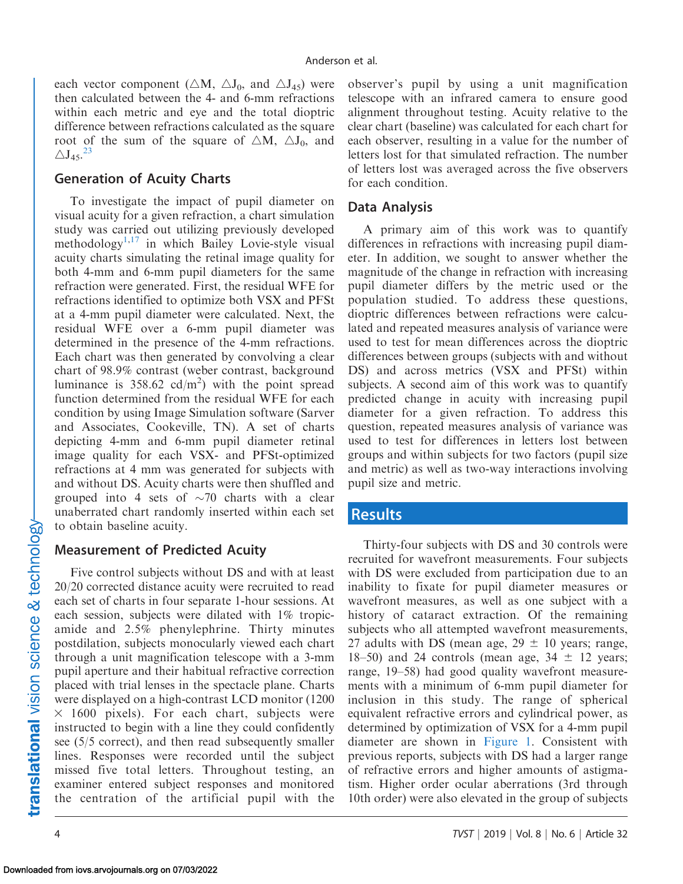each vector component ( $\triangle M$ ,  $\triangle J_0$ , and  $\triangle J_{45}$ ) were then calculated between the 4- and 6-mm refractions within each metric and eye and the total dioptric difference between refractions calculated as the square root of the sum of the square of  $\triangle M$ ,  $\triangle J_0$ , and  $\triangle J_{45}$ .<sup>[23](#page-8-0)</sup>

#### Generation of Acuity Charts

To investigate the impact of pupil diameter on visual acuity for a given refraction, a chart simulation study was carried out utilizing previously developed methodology<sup>1,[17](#page-8-0)</sup> in which Bailey Lovie-style visual acuity charts simulating the retinal image quality for both 4-mm and 6-mm pupil diameters for the same refraction were generated. First, the residual WFE for refractions identified to optimize both VSX and PFSt at a 4-mm pupil diameter were calculated. Next, the residual WFE over a 6-mm pupil diameter was determined in the presence of the 4-mm refractions. Each chart was then generated by convolving a clear chart of 98.9% contrast (weber contrast, background luminance is  $358.62$  cd/m<sup>2</sup>) with the point spread function determined from the residual WFE for each condition by using Image Simulation software (Sarver and Associates, Cookeville, TN). A set of charts depicting 4-mm and 6-mm pupil diameter retinal image quality for each VSX- and PFSt-optimized refractions at 4 mm was generated for subjects with and without DS. Acuity charts were then shuffled and grouped into 4 sets of  $\sim$ 70 charts with a clear unaberrated chart randomly inserted within each set to obtain baseline acuity.

#### Measurement of Predicted Acuity

Five control subjects without DS and with at least 20/20 corrected distance acuity were recruited to read each set of charts in four separate 1-hour sessions. At each session, subjects were dilated with 1% tropicamide and 2.5% phenylephrine. Thirty minutes postdilation, subjects monocularly viewed each chart through a unit magnification telescope with a 3-mm pupil aperture and their habitual refractive correction placed with trial lenses in the spectacle plane. Charts were displayed on a high-contrast LCD monitor (1200  $\times$  1600 pixels). For each chart, subjects were instructed to begin with a line they could confidently see (5/5 correct), and then read subsequently smaller lines. Responses were recorded until the subject missed five total letters. Throughout testing, an examiner entered subject responses and monitored the centration of the artificial pupil with the

observer's pupil by using a unit magnification telescope with an infrared camera to ensure good alignment throughout testing. Acuity relative to the clear chart (baseline) was calculated for each chart for each observer, resulting in a value for the number of letters lost for that simulated refraction. The number of letters lost was averaged across the five observers for each condition.

#### Data Analysis

A primary aim of this work was to quantify differences in refractions with increasing pupil diameter. In addition, we sought to answer whether the magnitude of the change in refraction with increasing pupil diameter differs by the metric used or the population studied. To address these questions, dioptric differences between refractions were calculated and repeated measures analysis of variance were used to test for mean differences across the dioptric differences between groups (subjects with and without DS) and across metrics (VSX and PFSt) within subjects. A second aim of this work was to quantify predicted change in acuity with increasing pupil diameter for a given refraction. To address this question, repeated measures analysis of variance was used to test for differences in letters lost between groups and within subjects for two factors (pupil size and metric) as well as two-way interactions involving pupil size and metric.

#### Results

Thirty-four subjects with DS and 30 controls were recruited for wavefront measurements. Four subjects with DS were excluded from participation due to an inability to fixate for pupil diameter measures or wavefront measures, as well as one subject with a history of cataract extraction. Of the remaining subjects who all attempted wavefront measurements, 27 adults with DS (mean age,  $29 \pm 10$  years; range, 18–50) and 24 controls (mean age,  $34 \pm 12$  years; range, 19–58) had good quality wavefront measurements with a minimum of 6-mm pupil diameter for inclusion in this study. The range of spherical equivalent refractive errors and cylindrical power, as determined by optimization of VSX for a 4-mm pupil diameter are shown in [Figure 1.](#page-4-0) Consistent with previous reports, subjects with DS had a larger range of refractive errors and higher amounts of astigmatism. Higher order ocular aberrations (3rd through 10th order) were also elevated in the group of subjects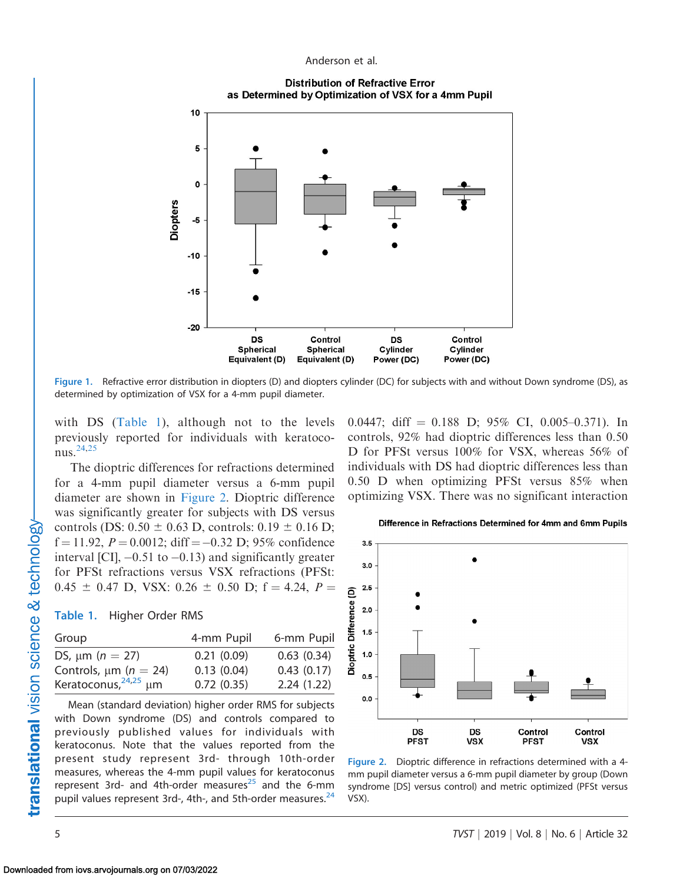Anderson et al.

**Distribution of Refractive Error** as Determined by Optimization of VSX for a 4mm Pupil

<span id="page-4-0"></span>

Figure 1. Refractive error distribution in diopters (D) and diopters cylinder (DC) for subjects with and without Down syndrome (DS), as determined by optimization of VSX for a 4-mm pupil diameter.

with DS (Table 1), although not to the levels previously reported for individuals with keratoconus[.24,25](#page-8-0)

The dioptric differences for refractions determined for a 4-mm pupil diameter versus a 6-mm pupil diameter are shown in Figure 2. Dioptric difference was significantly greater for subjects with DS versus controls (DS:  $0.50 \pm 0.63$  D, controls:  $0.19 \pm 0.16$  D;  $f = 11.92$ ,  $P = 0.0012$ ; diff = -0.32 D; 95% confidence interval [CI],  $-0.51$  to  $-0.13$ ) and significantly greater for PFSt refractions versus VSX refractions (PFSt:  $0.45 \pm 0.47$  D, VSX:  $0.26 \pm 0.50$  D; f = 4.24, P =

#### Table 1. Higher Order RMS

| Group                      | 4-mm Pupil | 6-mm Pupil |
|----------------------------|------------|------------|
| DS, $\mu m$ ( $n = 27$ )   | 0.21(0.09) | 0.63(0.34) |
| Controls, $\mu$ m (n = 24) | 0.13(0.04) | 0.43(0.17) |
| Keratoconus, $24,25$ µm    | 0.72(0.35) | 2.24(1.22) |

Mean (standard deviation) higher order RMS for subjects with Down syndrome (DS) and controls compared to previously published values for individuals with keratoconus. Note that the values reported from the present study represent 3rd- through 10th-order measures, whereas the 4-mm pupil values for keratoconus represent 3rd- and 4th-order measures $^{25}$  and the 6-mm pupil values represent 3rd-, 4th-, and 5th-order measures.<sup>[24](#page-8-0)</sup>

0.0447; diff  $= 0.188$  D; 95% CI, 0.005–0.371). In controls, 92% had dioptric differences less than 0.50 D for PFSt versus 100% for VSX, whereas 56% of individuals with DS had dioptric differences less than 0.50 D when optimizing PFSt versus 85% when optimizing VSX. There was no significant interaction



Difference in Refractions Determined for 4mm and 6mm Pupils

Figure 2. Dioptric difference in refractions determined with a 4 mm pupil diameter versus a 6-mm pupil diameter by group (Down syndrome [DS] versus control) and metric optimized (PFSt versus VSX).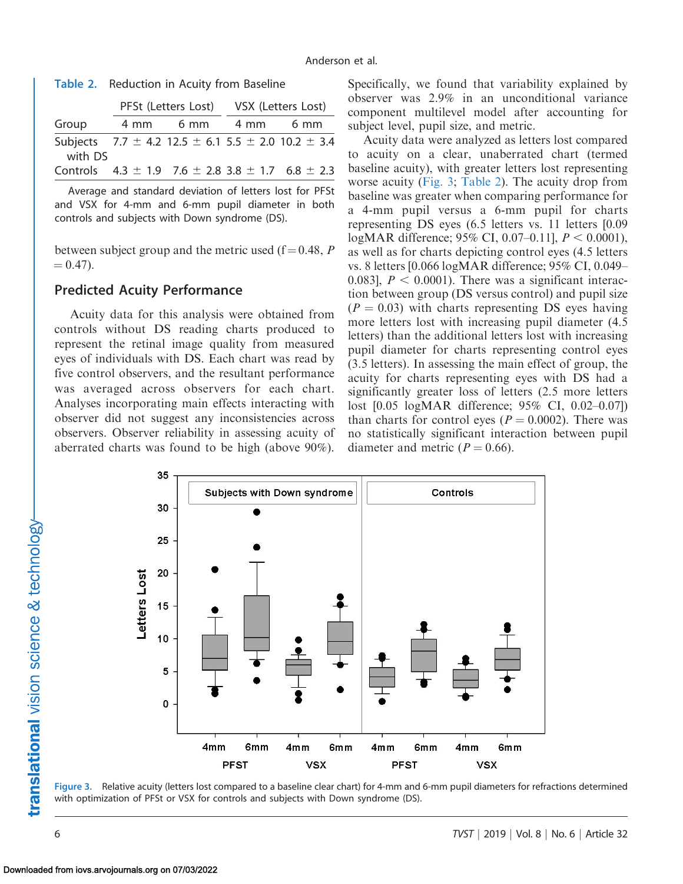|         | PFSt (Letters Lost) VSX (Letters Lost) |                                                                    |  |      |
|---------|----------------------------------------|--------------------------------------------------------------------|--|------|
| Group   |                                        | 4 mm 6 mm 4 mm                                                     |  | 6 mm |
| with DS |                                        | Subjects $7.7 \pm 4.2$ 12.5 $\pm$ 6.1 5.5 $\pm$ 2.0 10.2 $\pm$ 3.4 |  |      |
|         |                                        | Controls $4.3 \pm 1.9$ 7.6 $\pm$ 2.8 3.8 $\pm$ 1.7 6.8 $\pm$ 2.3   |  |      |

Average and standard deviation of letters lost for PFSt and VSX for 4-mm and 6-mm pupil diameter in both controls and subjects with Down syndrome (DS).

between subject group and the metric used ( $f = 0.48$ , P  $= 0.47$ ).

#### Predicted Acuity Performance

Acuity data for this analysis were obtained from controls without DS reading charts produced to represent the retinal image quality from measured eyes of individuals with DS. Each chart was read by five control observers, and the resultant performance was averaged across observers for each chart. Analyses incorporating main effects interacting with observer did not suggest any inconsistencies across observers. Observer reliability in assessing acuity of aberrated charts was found to be high (above 90%). Specifically, we found that variability explained by observer was 2.9% in an unconditional variance component multilevel model after accounting for subject level, pupil size, and metric.

Acuity data were analyzed as letters lost compared to acuity on a clear, unaberrated chart (termed baseline acuity), with greater letters lost representing worse acuity (Fig. 3; Table 2). The acuity drop from baseline was greater when comparing performance for a 4-mm pupil versus a 6-mm pupil for charts representing DS eyes (6.5 letters vs. 11 letters [0.09 logMAR difference; 95% CI, 0.07–0.11],  $P < 0.0001$ ), as well as for charts depicting control eyes (4.5 letters vs. 8 letters [0.066 logMAR difference; 95% CI, 0.049– 0.083],  $P < 0.0001$ . There was a significant interaction between group (DS versus control) and pupil size  $(P = 0.03)$  with charts representing DS eyes having more letters lost with increasing pupil diameter (4.5 letters) than the additional letters lost with increasing pupil diameter for charts representing control eyes (3.5 letters). In assessing the main effect of group, the acuity for charts representing eyes with DS had a significantly greater loss of letters (2.5 more letters lost [0.05 logMAR difference; 95% CI, 0.02–0.07]) than charts for control eyes ( $P = 0.0002$ ). There was no statistically significant interaction between pupil diameter and metric ( $P = 0.66$ ).



Figure 3. Relative acuity (letters lost compared to a baseline clear chart) for 4-mm and 6-mm pupil diameters for refractions determined with optimization of PFSt or VSX for controls and subjects with Down syndrome (DS).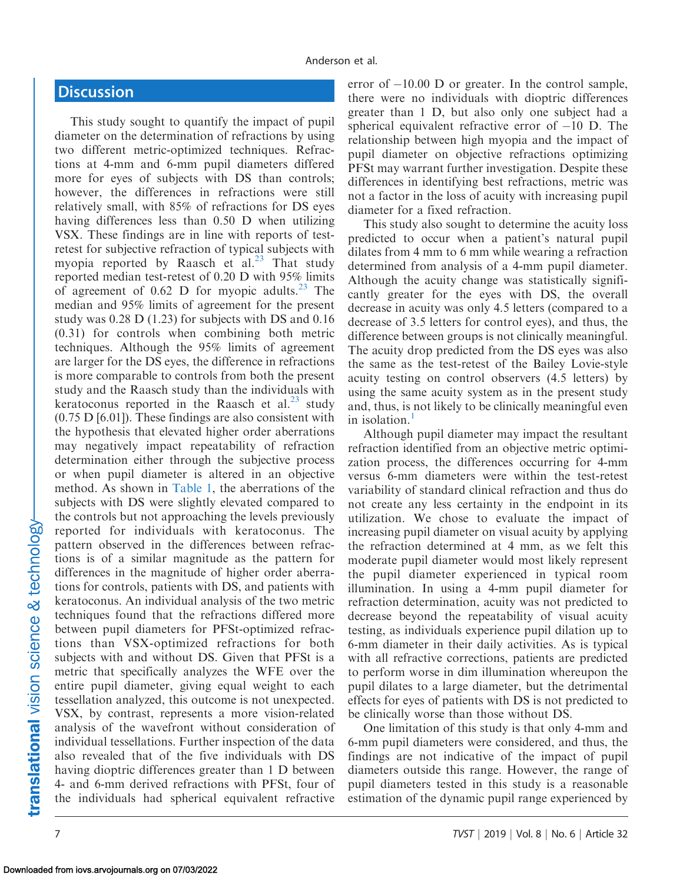# **Discussion**

This study sought to quantify the impact of pupil diameter on the determination of refractions by using two different metric-optimized techniques. Refractions at 4-mm and 6-mm pupil diameters differed more for eyes of subjects with DS than controls; however, the differences in refractions were still relatively small, with 85% of refractions for DS eyes having differences less than 0.50 D when utilizing VSX. These findings are in line with reports of testretest for subjective refraction of typical subjects with myopia reported by Raasch et al.<sup>[23](#page-8-0)</sup> That study reported median test-retest of 0.20 D with 95% limits of agreement of 0.62 D for myopic adults.<sup>[23](#page-8-0)</sup> The median and 95% limits of agreement for the present study was 0.28 D (1.23) for subjects with DS and 0.16 (0.31) for controls when combining both metric techniques. Although the 95% limits of agreement are larger for the DS eyes, the difference in refractions is more comparable to controls from both the present study and the Raasch study than the individuals with keratoconus reported in the Raasch et al. $^{23}$  study (0.75 D [6.01]). These findings are also consistent with the hypothesis that elevated higher order aberrations may negatively impact repeatability of refraction determination either through the subjective process or when pupil diameter is altered in an objective method. As shown in [Table 1](#page-4-0), the aberrations of the subjects with DS were slightly elevated compared to the controls but not approaching the levels previously reported for individuals with keratoconus. The pattern observed in the differences between refractions is of a similar magnitude as the pattern for differences in the magnitude of higher order aberrations for controls, patients with DS, and patients with keratoconus. An individual analysis of the two metric techniques found that the refractions differed more between pupil diameters for PFSt-optimized refractions than VSX-optimized refractions for both subjects with and without DS. Given that PFSt is a metric that specifically analyzes the WFE over the entire pupil diameter, giving equal weight to each tessellation analyzed, this outcome is not unexpected. VSX, by contrast, represents a more vision-related analysis of the wavefront without consideration of individual tessellations. Further inspection of the data also revealed that of the five individuals with DS having dioptric differences greater than 1 D between 4- and 6-mm derived refractions with PFSt, four of the individuals had spherical equivalent refractive

error of  $-10.00$  D or greater. In the control sample, there were no individuals with dioptric differences greater than 1 D, but also only one subject had a spherical equivalent refractive error of  $-10$  D. The relationship between high myopia and the impact of pupil diameter on objective refractions optimizing PFSt may warrant further investigation. Despite these differences in identifying best refractions, metric was not a factor in the loss of acuity with increasing pupil diameter for a fixed refraction.

This study also sought to determine the acuity loss predicted to occur when a patient's natural pupil dilates from 4 mm to 6 mm while wearing a refraction determined from analysis of a 4-mm pupil diameter. Although the acuity change was statistically significantly greater for the eyes with DS, the overall decrease in acuity was only 4.5 letters (compared to a decrease of 3.5 letters for control eyes), and thus, the difference between groups is not clinically meaningful. The acuity drop predicted from the DS eyes was also the same as the test-retest of the Bailey Lovie-style acuity testing on control observers (4.5 letters) by using the same acuity system as in the present study and, thus, is not likely to be clinically meaningful even in isolation.<sup>[1](#page-7-0)</sup>

Although pupil diameter may impact the resultant refraction identified from an objective metric optimization process, the differences occurring for 4-mm versus 6-mm diameters were within the test-retest variability of standard clinical refraction and thus do not create any less certainty in the endpoint in its utilization. We chose to evaluate the impact of increasing pupil diameter on visual acuity by applying the refraction determined at 4 mm, as we felt this moderate pupil diameter would most likely represent the pupil diameter experienced in typical room illumination. In using a 4-mm pupil diameter for refraction determination, acuity was not predicted to decrease beyond the repeatability of visual acuity testing, as individuals experience pupil dilation up to 6-mm diameter in their daily activities. As is typical with all refractive corrections, patients are predicted to perform worse in dim illumination whereupon the pupil dilates to a large diameter, but the detrimental effects for eyes of patients with DS is not predicted to be clinically worse than those without DS.

One limitation of this study is that only 4-mm and 6-mm pupil diameters were considered, and thus, the findings are not indicative of the impact of pupil diameters outside this range. However, the range of pupil diameters tested in this study is a reasonable estimation of the dynamic pupil range experienced by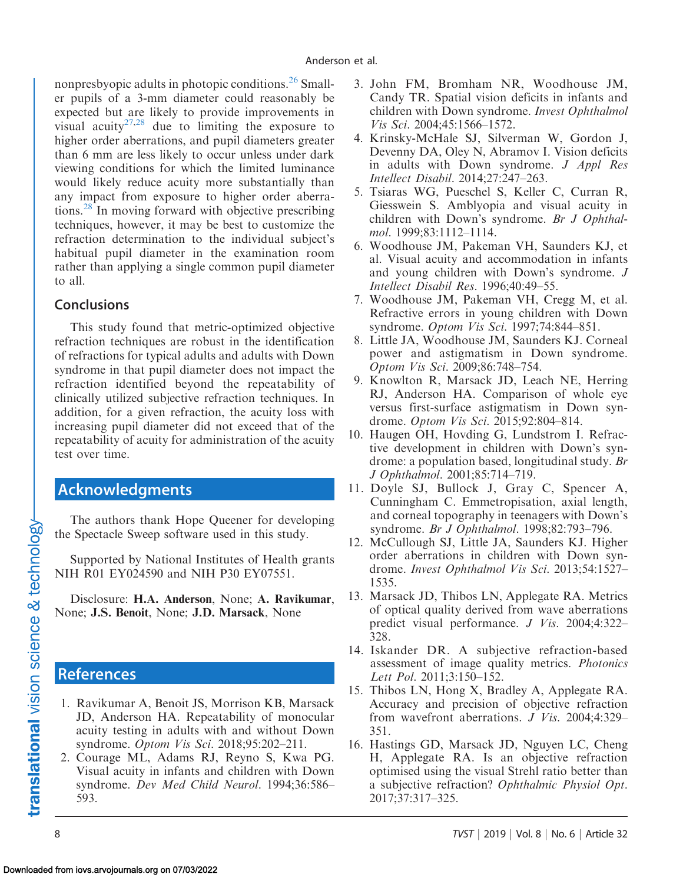<span id="page-7-0"></span>nonpresbyopic adults in photopic conditions.  $26$  Smaller pupils of a 3-mm diameter could reasonably be expected but are likely to provide improvements in visual acuity<sup>27,28</sup> due to limiting the exposure to higher order aberrations, and pupil diameters greater than 6 mm are less likely to occur unless under dark viewing conditions for which the limited luminance would likely reduce acuity more substantially than any impact from exposure to higher order aberrations.[28](#page-8-0) In moving forward with objective prescribing techniques, however, it may be best to customize the refraction determination to the individual subject's habitual pupil diameter in the examination room rather than applying a single common pupil diameter to all.

## **Conclusions**

This study found that metric-optimized objective refraction techniques are robust in the identification of refractions for typical adults and adults with Down syndrome in that pupil diameter does not impact the refraction identified beyond the repeatability of clinically utilized subjective refraction techniques. In addition, for a given refraction, the acuity loss with increasing pupil diameter did not exceed that of the repeatability of acuity for administration of the acuity test over time.

# Acknowledgments

The authors thank Hope Queener for developing the Spectacle Sweep software used in this study.

Supported by National Institutes of Health grants NIH R01 EY024590 and NIH P30 EY07551.

Disclosure: H.A. Anderson, None; A. Ravikumar, None; J.S. Benoit, None; J.D. Marsack, None

# References

- 1. Ravikumar A, Benoit JS, Morrison KB, Marsack JD, Anderson HA. Repeatability of monocular acuity testing in adults with and without Down syndrome. Optom Vis Sci. 2018;95:202–211.
- 2. Courage ML, Adams RJ, Reyno S, Kwa PG. Visual acuity in infants and children with Down syndrome. Dev Med Child Neurol. 1994;36:586– 593.
- 3. John FM, Bromham NR, Woodhouse JM, Candy TR. Spatial vision deficits in infants and children with Down syndrome. Invest Ophthalmol Vis Sci. 2004;45:1566–1572.
- 4. Krinsky-McHale SJ, Silverman W, Gordon J, Devenny DA, Oley N, Abramov I. Vision deficits in adults with Down syndrome. J Appl Res Intellect Disabil. 2014;27:247–263.
- 5. Tsiaras WG, Pueschel S, Keller C, Curran R, Giesswein S. Amblyopia and visual acuity in children with Down's syndrome. Br J Ophthalmol. 1999;83:1112–1114.
- 6. Woodhouse JM, Pakeman VH, Saunders KJ, et al. Visual acuity and accommodation in infants and young children with Down's syndrome. J Intellect Disabil Res. 1996;40:49–55.
- 7. Woodhouse JM, Pakeman VH, Cregg M, et al. Refractive errors in young children with Down syndrome. Optom Vis Sci. 1997;74:844–851.
- 8. Little JA, Woodhouse JM, Saunders KJ. Corneal power and astigmatism in Down syndrome. Optom Vis Sci. 2009;86:748–754.
- 9. Knowlton R, Marsack JD, Leach NE, Herring RJ, Anderson HA. Comparison of whole eye versus first-surface astigmatism in Down syndrome. Optom Vis Sci. 2015;92:804–814.
- 10. Haugen OH, Hovding G, Lundstrom I. Refractive development in children with Down's syndrome: a population based, longitudinal study. Br J Ophthalmol. 2001;85:714–719.
- 11. Doyle SJ, Bullock J, Gray C, Spencer A, Cunningham C. Emmetropisation, axial length, and corneal topography in teenagers with Down's syndrome. Br J Ophthalmol. 1998;82:793–796.
- 12. McCullough SJ, Little JA, Saunders KJ. Higher order aberrations in children with Down syndrome. Invest Ophthalmol Vis Sci. 2013;54:1527– 1535.
- 13. Marsack JD, Thibos LN, Applegate RA. Metrics of optical quality derived from wave aberrations predict visual performance. J Vis. 2004;4:322– 328.
- 14. Iskander DR. A subjective refraction-based assessment of image quality metrics. Photonics Lett Pol. 2011;3:150–152.
- 15. Thibos LN, Hong X, Bradley A, Applegate RA. Accuracy and precision of objective refraction from wavefront aberrations. J Vis. 2004;4:329– 351.
- 16. Hastings GD, Marsack JD, Nguyen LC, Cheng H, Applegate RA. Is an objective refraction optimised using the visual Strehl ratio better than a subjective refraction? Ophthalmic Physiol Opt. 2017;37:317–325.